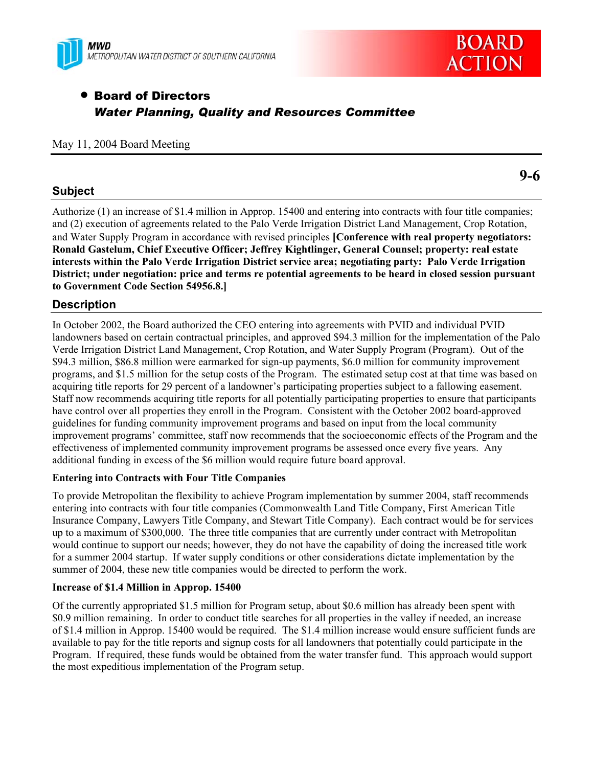



**9-6** 

# • Board of Directors *Water Planning, Quality and Resources Committee*

### May 11, 2004 Board Meeting

## **Subject**

Authorize (1) an increase of \$1.4 million in Approp. 15400 and entering into contracts with four title companies; and (2) execution of agreements related to the Palo Verde Irrigation District Land Management, Crop Rotation, and Water Supply Program in accordance with revised principles **[Conference with real property negotiators: Ronald Gastelum, Chief Executive Officer; Jeffrey Kightlinger, General Counsel; property: real estate interests within the Palo Verde Irrigation District service area; negotiating party: Palo Verde Irrigation District; under negotiation: price and terms re potential agreements to be heard in closed session pursuant to Government Code Section 54956.8.]** 

### **Description**

In October 2002, the Board authorized the CEO entering into agreements with PVID and individual PVID landowners based on certain contractual principles, and approved \$94.3 million for the implementation of the Palo Verde Irrigation District Land Management, Crop Rotation, and Water Supply Program (Program). Out of the \$94.3 million, \$86.8 million were earmarked for sign-up payments, \$6.0 million for community improvement programs, and \$1.5 million for the setup costs of the Program. The estimated setup cost at that time was based on acquiring title reports for 29 percent of a landowner's participating properties subject to a fallowing easement. Staff now recommends acquiring title reports for all potentially participating properties to ensure that participants have control over all properties they enroll in the Program. Consistent with the October 2002 board-approved guidelines for funding community improvement programs and based on input from the local community improvement programs' committee, staff now recommends that the socioeconomic effects of the Program and the effectiveness of implemented community improvement programs be assessed once every five years. Any additional funding in excess of the \$6 million would require future board approval.

### **Entering into Contracts with Four Title Companies**

To provide Metropolitan the flexibility to achieve Program implementation by summer 2004, staff recommends entering into contracts with four title companies (Commonwealth Land Title Company, First American Title Insurance Company, Lawyers Title Company, and Stewart Title Company). Each contract would be for services up to a maximum of \$300,000. The three title companies that are currently under contract with Metropolitan would continue to support our needs; however, they do not have the capability of doing the increased title work for a summer 2004 startup. If water supply conditions or other considerations dictate implementation by the summer of 2004, these new title companies would be directed to perform the work.

### **Increase of \$1.4 Million in Approp. 15400**

Of the currently appropriated \$1.5 million for Program setup, about \$0.6 million has already been spent with \$0.9 million remaining. In order to conduct title searches for all properties in the valley if needed, an increase of \$1.4 million in Approp. 15400 would be required. The \$1.4 million increase would ensure sufficient funds are available to pay for the title reports and signup costs for all landowners that potentially could participate in the Program. If required, these funds would be obtained from the water transfer fund. This approach would support the most expeditious implementation of the Program setup.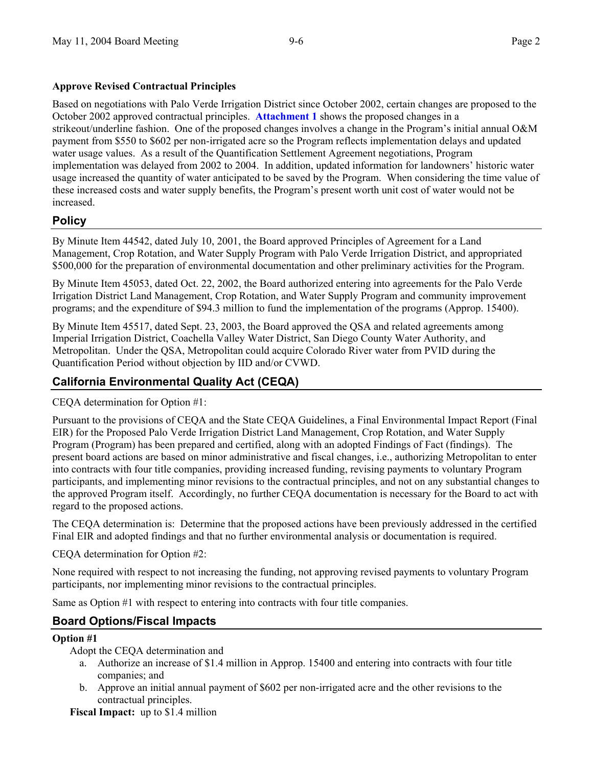### **Approve Revised Contractual Principles**

Based on negotiations with Palo Verde Irrigation District since October 2002, certain changes are proposed to the October 2002 approved contractual principles. **Attachment 1** shows the proposed changes in a strikeout/underline fashion. One of the proposed changes involves a change in the Program's initial annual O&M payment from \$550 to \$602 per non-irrigated acre so the Program reflects implementation delays and updated water usage values. As a result of the Quantification Settlement Agreement negotiations, Program implementation was delayed from 2002 to 2004. In addition, updated information for landowners' historic water usage increased the quantity of water anticipated to be saved by the Program. When considering the time value of these increased costs and water supply benefits, the Program's present worth unit cost of water would not be increased.

# **Policy**

By Minute Item 44542, dated July 10, 2001, the Board approved Principles of Agreement for a Land Management, Crop Rotation, and Water Supply Program with Palo Verde Irrigation District, and appropriated \$500,000 for the preparation of environmental documentation and other preliminary activities for the Program.

By Minute Item 45053, dated Oct. 22, 2002, the Board authorized entering into agreements for the Palo Verde Irrigation District Land Management, Crop Rotation, and Water Supply Program and community improvement programs; and the expenditure of \$94.3 million to fund the implementation of the programs (Approp. 15400).

By Minute Item 45517, dated Sept. 23, 2003, the Board approved the QSA and related agreements among Imperial Irrigation District, Coachella Valley Water District, San Diego County Water Authority, and Metropolitan. Under the QSA, Metropolitan could acquire Colorado River water from PVID during the Quantification Period without objection by IID and/or CVWD.

# **California Environmental Quality Act (CEQA)**

CEQA determination for Option #1:

Pursuant to the provisions of CEQA and the State CEQA Guidelines, a Final Environmental Impact Report (Final EIR) for the Proposed Palo Verde Irrigation District Land Management, Crop Rotation, and Water Supply Program (Program) has been prepared and certified, along with an adopted Findings of Fact (findings). The present board actions are based on minor administrative and fiscal changes, i.e., authorizing Metropolitan to enter into contracts with four title companies, providing increased funding, revising payments to voluntary Program participants, and implementing minor revisions to the contractual principles, and not on any substantial changes to the approved Program itself. Accordingly, no further CEQA documentation is necessary for the Board to act with regard to the proposed actions.

The CEQA determination is: Determine that the proposed actions have been previously addressed in the certified Final EIR and adopted findings and that no further environmental analysis or documentation is required.

CEQA determination for Option #2:

None required with respect to not increasing the funding, not approving revised payments to voluntary Program participants, nor implementing minor revisions to the contractual principles.

Same as Option #1 with respect to entering into contracts with four title companies.

# **Board Options/Fiscal Impacts**

### **Option #1**

Adopt the CEQA determination and

- a. Authorize an increase of \$1.4 million in Approp. 15400 and entering into contracts with four title companies; and
- b. Approve an initial annual payment of \$602 per non-irrigated acre and the other revisions to the contractual principles.

**Fiscal Impact:** up to \$1.4 million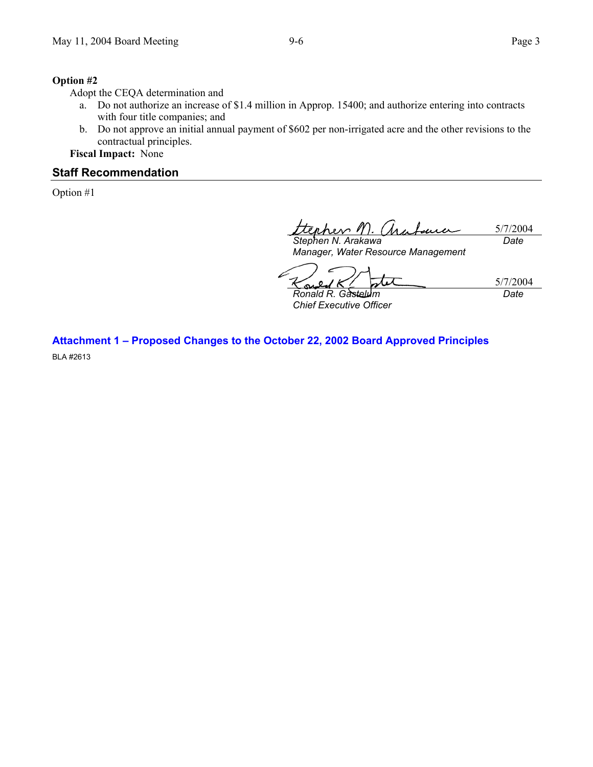### **Option #2**

Adopt the CEQA determination and

- a. Do not authorize an increase of \$1.4 million in Approp. 15400; and authorize entering into contracts with four title companies; and
- b. Do not approve an initial annual payment of \$602 per non-irrigated acre and the other revisions to the contractual principles.

**Fiscal Impact:** None

### **Staff Recommendation**

Option #1

5/7/2004  $hnn$ *Date* 

*Stephen N. Arakawa Manager, Water Resource Management* 

5/7/2004

*Ronald R. Gastelum Chief Executive Officer* 

*Date* 

**Attachment 1 – Proposed Changes to the October 22, 2002 Board Approved Principles**  BLA #2613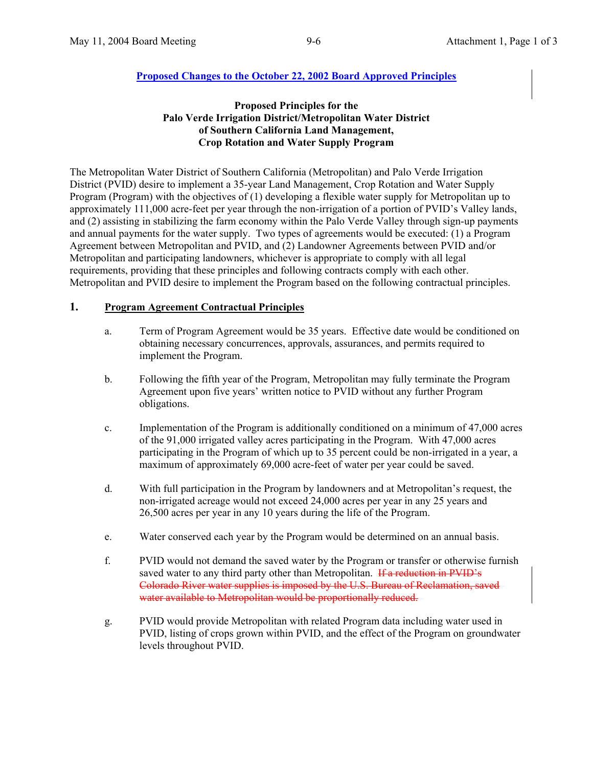### **Proposed Principles for the Palo Verde Irrigation District/Metropolitan Water District of Southern California Land Management, Crop Rotation and Water Supply Program**

The Metropolitan Water District of Southern California (Metropolitan) and Palo Verde Irrigation District (PVID) desire to implement a 35-year Land Management, Crop Rotation and Water Supply Program (Program) with the objectives of (1) developing a flexible water supply for Metropolitan up to approximately 111,000 acre-feet per year through the non-irrigation of a portion of PVID's Valley lands, and (2) assisting in stabilizing the farm economy within the Palo Verde Valley through sign-up payments and annual payments for the water supply. Two types of agreements would be executed: (1) a Program Agreement between Metropolitan and PVID, and (2) Landowner Agreements between PVID and/or Metropolitan and participating landowners, whichever is appropriate to comply with all legal requirements, providing that these principles and following contracts comply with each other. Metropolitan and PVID desire to implement the Program based on the following contractual principles.

## **1. Program Agreement Contractual Principles**

- a. Term of Program Agreement would be 35 years. Effective date would be conditioned on obtaining necessary concurrences, approvals, assurances, and permits required to implement the Program.
- b. Following the fifth year of the Program, Metropolitan may fully terminate the Program Agreement upon five years' written notice to PVID without any further Program obligations.
- c. Implementation of the Program is additionally conditioned on a minimum of 47,000 acres of the 91,000 irrigated valley acres participating in the Program. With 47,000 acres participating in the Program of which up to 35 percent could be non-irrigated in a year, a maximum of approximately 69,000 acre-feet of water per year could be saved.
- d. With full participation in the Program by landowners and at Metropolitan's request, the non-irrigated acreage would not exceed 24,000 acres per year in any 25 years and 26,500 acres per year in any 10 years during the life of the Program.
- e. Water conserved each year by the Program would be determined on an annual basis.
- f. PVID would not demand the saved water by the Program or transfer or otherwise furnish saved water to any third party other than Metropolitan. If a reduction in PVID's Colorado River water supplies is imposed by the U.S. Bureau of Reclamation, saved water available to Metropolitan would be proportionally reduced.
- g. PVID would provide Metropolitan with related Program data including water used in PVID, listing of crops grown within PVID, and the effect of the Program on groundwater levels throughout PVID.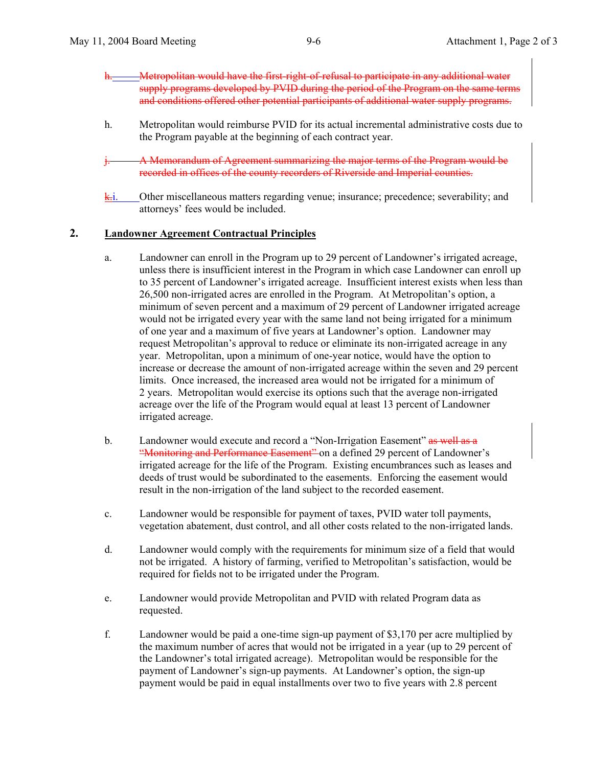- h. Metropolitan would have the first-right-of-refusal to participate in any additional water supply programs developed by PVID during the period of the Program on the same terms and conditions offered other potential participants of additional water supply programs.
- h. Metropolitan would reimburse PVID for its actual incremental administrative costs due to the Program payable at the beginning of each contract year.
- j. A Memorandum of Agreement summarizing the major terms of the Program would be recorded in offices of the county recorders of Riverside and Imperial counties.
- $k$ . Other miscellaneous matters regarding venue; insurance; precedence; severability; and attorneys' fees would be included.

#### **2. Landowner Agreement Contractual Principles**

- a. Landowner can enroll in the Program up to 29 percent of Landowner's irrigated acreage, unless there is insufficient interest in the Program in which case Landowner can enroll up to 35 percent of Landowner's irrigated acreage. Insufficient interest exists when less than 26,500 non-irrigated acres are enrolled in the Program. At Metropolitan's option, a minimum of seven percent and a maximum of 29 percent of Landowner irrigated acreage would not be irrigated every year with the same land not being irrigated for a minimum of one year and a maximum of five years at Landowner's option. Landowner may request Metropolitan's approval to reduce or eliminate its non-irrigated acreage in any year. Metropolitan, upon a minimum of one-year notice, would have the option to increase or decrease the amount of non-irrigated acreage within the seven and 29 percent limits. Once increased, the increased area would not be irrigated for a minimum of 2 years. Metropolitan would exercise its options such that the average non-irrigated acreage over the life of the Program would equal at least 13 percent of Landowner irrigated acreage.
- b. Landowner would execute and record a "Non-Irrigation Easement" as well as a "Monitoring and Performance Easement" on a defined 29 percent of Landowner's irrigated acreage for the life of the Program. Existing encumbrances such as leases and deeds of trust would be subordinated to the easements. Enforcing the easement would result in the non-irrigation of the land subject to the recorded easement.
- c. Landowner would be responsible for payment of taxes, PVID water toll payments, vegetation abatement, dust control, and all other costs related to the non-irrigated lands.
- d. Landowner would comply with the requirements for minimum size of a field that would not be irrigated. A history of farming, verified to Metropolitan's satisfaction, would be required for fields not to be irrigated under the Program.
- e. Landowner would provide Metropolitan and PVID with related Program data as requested.
- f. Landowner would be paid a one-time sign-up payment of \$3,170 per acre multiplied by the maximum number of acres that would not be irrigated in a year (up to 29 percent of the Landowner's total irrigated acreage). Metropolitan would be responsible for the payment of Landowner's sign-up payments. At Landowner's option, the sign-up payment would be paid in equal installments over two to five years with 2.8 percent